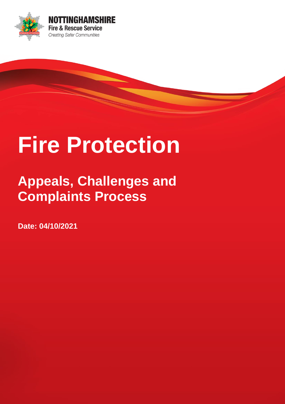

# **Fire Protection**

## **Appeals, Challenges and Complaints Process**

**Date: 04/10/2021**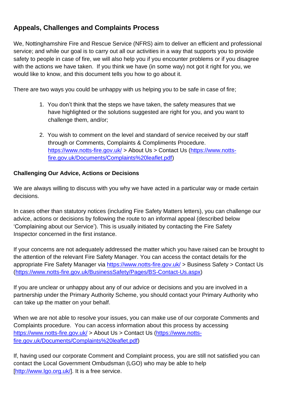### **Appeals, Challenges and Complaints Process**

We, Nottinghamshire Fire and Rescue Service (NFRS) aim to deliver an efficient and professional service; and while our goal is to carry out all our activities in a way that supports you to provide safety to people in case of fire, we will also help you if you encounter problems or if you disagree with the actions we have taken. If you think we have (in some way) not got it right for you, we would like to know, and this document tells you how to go about it.

There are two ways you could be unhappy with us helping you to be safe in case of fire;

- 1. You don't think that the steps we have taken, the safety measures that we have highlighted or the solutions suggested are right for you, and you want to challenge them, and/or;
- 2. You wish to comment on the level and standard of service received by our staff through or Comments, Complaints & Compliments Procedure. <https://www.notts-fire.gov.uk/> > About Us > Contact Us [\(https://www.notts](https://www.notts-fire.gov.uk/Documents/Complaints%20leaflet.pdf)[fire.gov.uk/Documents/Complaints%20leaflet.pdf\)](https://www.notts-fire.gov.uk/Documents/Complaints%20leaflet.pdf)

#### **Challenging Our Advice, Actions or Decisions**

We are always willing to discuss with you why we have acted in a particular way or made certain decisions.

In cases other than statutory notices (including Fire Safety Matters letters), you can challenge our advice, actions or decisions by following the route to an informal appeal (described below 'Complaining about our Service'). This is usually initiated by contacting the Fire Safety Inspector concerned in the first instance.

If your concerns are not adequately addressed the matter which you have raised can be brought to the attention of the relevant Fire Safety Manager. You can access the contact details for the appropriate Fire Safety Manager via <https://www.notts-fire.gov.uk/> > Business Safety > Contact Us [\(https://www.notts-fire.gov.uk/BusinessSafety/Pages/BS-Contact-Us.aspx\)](https://www.notts-fire.gov.uk/BusinessSafety/Pages/BS-Contact-Us.aspx)

If you are unclear or unhappy about any of our advice or decisions and you are involved in a partnership under the Primary Authority Scheme, you should contact your Primary Authority who can take up the matter on your behalf.

When we are not able to resolve your issues, you can make use of our corporate Comments and Complaints procedure. You can access information about this process by accessing <https://www.notts-fire.gov.uk/> > About Us > Contact Us [\(https://www.notts](https://www.notts-fire.gov.uk/Documents/Complaints%20leaflet.pdf)[fire.gov.uk/Documents/Complaints%20leaflet.pdf\)](https://www.notts-fire.gov.uk/Documents/Complaints%20leaflet.pdf)

If, having used our corporate Comment and Complaint process, you are still not satisfied you can contact the Local Government Ombudsman (LGO) who may be able to help [\[http://www.lgo.org.uk/\]](http://www.lgo.org.uk/). It is a free service.